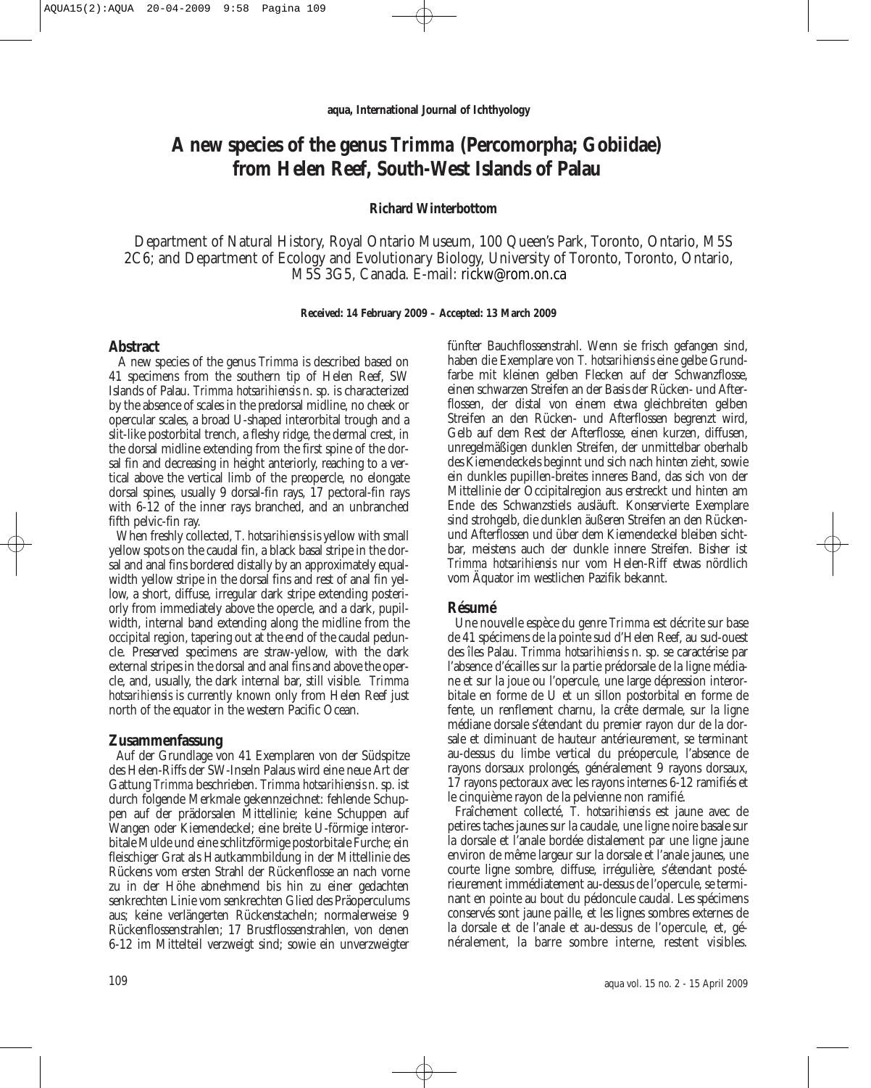# **A new species of the genus** *Trimma* **(Percomorpha; Gobiidae) from Helen Reef, South-West Islands of Palau**

### **Richard Winterbottom**

Department of Natural History, Royal Ontario Museum, 100 Queen's Park, Toronto, Ontario, M5S 2C6; and Department of Ecology and Evolutionary Biology, University of Toronto, Toronto, Ontario, M5S 3G5, Canada. E-mail: rickw@rom.on.ca

#### **Received: 14 February 2009 – Accepted: 13 March 2009**

### **Abstract**

A new species of the genus *Trimma* is described based on 41 specimens from the southern tip of Helen Reef, SW Islands of Palau. *Trimma hotsarihiensis* n. sp. is characterized by the absence of scales in the predorsal midline, no cheek or opercular scales, a broad U-shaped interorbital trough and a slit-like postorbital trench, a fleshy ridge, the dermal crest, in the dorsal midline extending from the first spine of the dorsal fin and decreasing in height anteriorly, reaching to a vertical above the vertical limb of the preopercle, no elongate dorsal spines, usually 9 dorsal-fin rays, 17 pectoral-fin rays with 6-12 of the inner rays branched, and an unbranched fifth pelvic-fin ray.

When freshly collected, *T. hotsarihiensis* is yellow with small yellow spots on the caudal fin, a black basal stripe in the dorsal and anal fins bordered distally by an approximately equalwidth yellow stripe in the dorsal fins and rest of anal fin yellow, a short, diffuse, irregular dark stripe extending posteriorly from immediately above the opercle, and a dark, pupilwidth, internal band extending along the midline from the occipital region, tapering out at the end of the caudal peduncle. Preserved specimens are straw-yellow, with the dark external stripes in the dorsal and anal fins and above the opercle, and, usually, the dark internal bar, still visible. *Trimma hotsarihiensis* is currently known only from Helen Reef just north of the equator in the western Pacific Ocean.

#### **Zusammenfassung**

Auf der Grundlage von 41 Exemplaren von der Südspitze des Helen-Riffs der SW-Inseln Palaus wird eine neue Art der Gattung *Trimma* beschrieben. *Trimma hotsarihiensis* n. sp. ist durch folgende Merkmale gekennzeichnet: fehlende Schuppen auf der prädorsalen Mittellinie; keine Schuppen auf Wangen oder Kiemendeckel; eine breite U-förmige interorbitale Mulde und eine schlitzförmige postorbitale Furche; ein fleischiger Grat als Hautkammbildung in der Mittellinie des Rückens vom ersten Strahl der Rückenflosse an nach vorne zu in der Höhe abnehmend bis hin zu einer gedachten senkrechten Linie vom senkrechten Glied des Präoperculums aus; keine verlängerten Rückenstacheln; normalerweise 9 Rückenflossenstrahlen; 17 Brustflossenstrahlen, von denen 6-12 im Mittelteil verzweigt sind; sowie ein unverzweigter fünfter Bauchflossenstrahl. Wenn sie frisch gefangen sind, haben die Exemplare von *T. hotsarihiensis* eine gelbe Grundfarbe mit kleinen gelben Flecken auf der Schwanzflosse, einen schwarzen Streifen an der Basis der Rücken- und Afterflossen, der distal von einem etwa gleichbreiten gelben Streifen an den Rücken- und Afterflossen begrenzt wird, Gelb auf dem Rest der Afterflosse, einen kurzen, diffusen, unregelmäßigen dunklen Streifen, der unmittelbar oberhalb des Kiemendeckels beginnt und sich nach hinten zieht, sowie ein dunkles pupillen-breites inneres Band, das sich von der Mittellinie der Occipitalregion aus erstreckt und hinten am Ende des Schwanzstiels ausläuft. Konservierte Exemplare sind strohgelb, die dunklen äußeren Streifen an den Rückenund Afterflossen und über dem Kiemendeckel bleiben sichtbar, meistens auch der dunkle innere Streifen. Bisher ist *Trimma hotsarihiensis* nur vom Helen-Riff etwas nördlich vom Äquator im westlichen Pazifik bekannt.

### **Résumé**

Une nouvelle espèce du genre *Trimma* est décrite sur base de 41 spécimens de la pointe sud d'Helen Reef, au sud-ouest des îles Palau. *Trimma hotsarihiensis* n. sp. se caractérise par l'absence d'écailles sur la partie prédorsale de la ligne média ne et sur la joue ou l'opercule, une large dépression interorbitale en forme de U et un sillon postorbital en forme de fente, un renflement charnu, la crête dermale, sur la ligne médiane dorsale s'étendant du premier rayon dur de la dorsale et diminuant de hauteur antérieurement, se terminant au-dessus du limbe vertical du préopercule, l'absence de rayons dorsaux prolongés, généralement 9 rayons dorsaux, 17 rayons pectoraux avec les rayons internes 6-12 ramifiés et le cinquième rayon de la pelvienne non ramifié.

Fraîchement collecté, *T. hotsarihiensis* est jaune avec de petires taches jaunes sur la caudale, une ligne noire basale sur la dorsale et l'anale bordée distalement par une ligne jaune environ de même largeur sur la dorsale et l'anale jaunes, une courte ligne sombre, diffuse, irrégulière, s'étendant posté rieurement immédiatement au-dessus de l'opercule, se terminant en pointe au bout du pédoncule caudal. Les spécimens conservés sont jaune paille, et les lignes sombres externes de la dorsale et de l'anale et au-dessus de l'opercule, et, généralement, la barre sombre interne, restent visibles.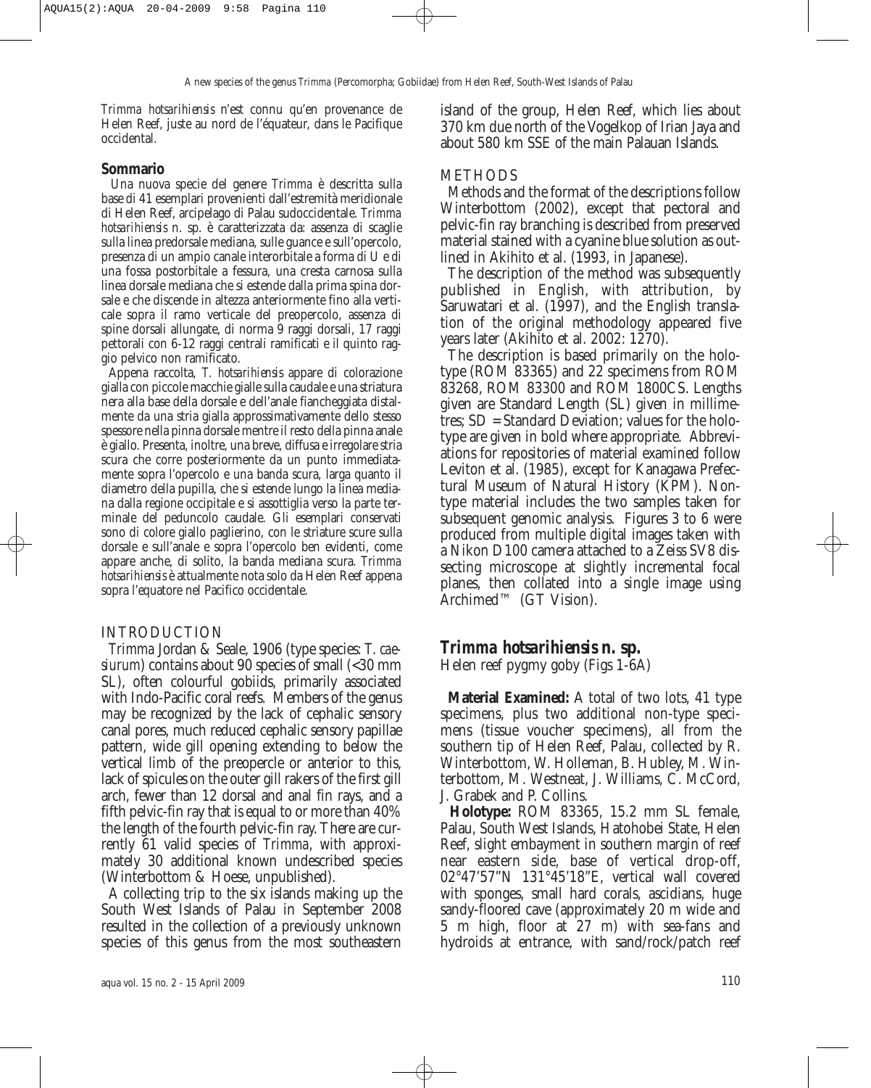*Trimma hotsarihiensis* n'est connu qu'en provenance de Helen Reef, juste au nord de l'équateur, dans le Pacifique occidental.

### **Sommario**

Una nuova specie del genere *Trimma* è descritta sulla base di 41 esemplari provenienti dall'estremità meridionale di Helen Reef, arcipelago di Palau sudoccidentale. *Trimma hotsarihiensis* n. sp. è caratterizzata da: assenza di scaglie sulla linea predorsale mediana, sulle guance e sull'opercolo, presenza di un ampio canale interorbitale a forma di U e di una fossa postorbitale a fessura, una cresta carnosa sulla linea dorsale mediana che si estende dalla prima spina dorsale e che discende in altezza anteriormente fino alla verticale sopra il ramo verticale del preopercolo, assenza di spine dorsali allungate, di norma 9 raggi dorsali, 17 raggi pettorali con 6-12 raggi centrali ramificati e il quinto raggio pelvico non ramificato.

Appena raccolta, *T. hotsarihiensis* appare di colorazione gialla con piccole macchie gialle sulla caudale e una striatura nera alla base della dorsale e dell'anale fiancheggiata distalmente da una stria gialla approssimativamente dello stesso spessore nella pinna dorsale mentre il resto della pinna anale è giallo. Presenta, inoltre, una breve, diffusa e irregolare stria scura che corre posteriormente da un punto immediatamente sopra l'opercolo e una banda scura, larga quanto il diametro della pupilla, che si estende lungo la linea media na dalla regione occipitale e si assottiglia verso la parte terminale del peduncolo caudale. Gli esemplari conservati sono di colore giallo paglierino, con le striature scure sulla dorsale e sull'anale e sopra l'opercolo ben evidenti, come appare anche, di solito, la banda mediana scura. *Trimma hotsarihiensis* è attualmente nota solo da Helen Reef appena sopra l'equatore nel Pacifico occidentale.

# INTRODUCTION

*Trimma* Jordan & Seale, 1906 (type species: *T. caesiurum*) contains about 90 species of small (<30 mm SL), often colourful gobiids, primarily associated with Indo-Pacific coral reefs. Members of the genus may be recognized by the lack of cephalic sensory canal pores, much reduced cephalic sensory papillae pattern, wide gill opening extending to below the vertical limb of the preopercle or anterior to this, lack of spicules on the outer gill rakers of the first gill arch, fewer than 12 dorsal and anal fin rays, and a fifth pelvic-fin ray that is equal to or more than 40% the length of the fourth pelvic-fin ray. There are currently 61 valid species of *Trimma*, with approximately 30 additional known undescribed species (Winterbottom & Hoese, unpublished).

A collecting trip to the six islands making up the South West Islands of Palau in September 2008 resulted in the collection of a previously unknown species of this genus from the most southeastern island of the group, Helen Reef, which lies about 370 km due north of the Vogelkop of Irian Jaya and about 580 km SSE of the main Palauan Islands.

## **METHODS**

Methods and the format of the descriptions follow Winterbottom (2002), except that pectoral and pelvic-fin ray branching is described from preserved material stained with a cyanine blue solution as outlined in Akihito et al. (1993, in Japanese).

The description of the method was subsequently published in English, with attribution, by Saruwatari et al*.* (1997), and the English translation of the original methodology appeared five years later (Akihito et al. 2002: 1270).

The description is based primarily on the holotype (ROM 83365) and 22 specimens from ROM 83268, ROM 83300 and ROM 1800CS. Lengths given are Standard Length (SL) given in millimetres; SD = Standard Deviation; values for the holotype are given in bold where appropriate. Abbreviations for repositories of material examined follow Leviton et al. (1985), except for Kanagawa Prefectural Museum of Natural History (KPM). Nontype material includes the two samples taken for subsequent genomic analysis. Figures 3 to 6 were produced from multiple digital images taken with a Nikon D100 camera attached to a Zeiss SV8 dissecting microscope at slightly incremental focal planes, then collated into a single image using Archimed™ (GT Vision).

# *Trimma hotsarihiensis* **n. sp.**

Helen reef pygmy goby (Figs 1-6A)

**Material Examined:** A total of two lots, 41 type specimens, plus two additional non-type specimens (tissue voucher specimens), all from the southern tip of Helen Reef, Palau, collected by R. Winterbottom, W. Holleman, B. Hubley, M. Winterbottom, M. Westneat, J. Williams, C. McCord, J. Grabek and P. Collins.

**Holotype:** ROM 83365, 15.2 mm SL female, Palau, South West Islands, Hatohobei State, Helen Reef, slight embayment in southern margin of reef near eastern side, base of vertical drop-off, 02°47'57"N 131°45'18"E, vertical wall covered with sponges, small hard corals, ascidians, huge sandy-floored cave (approximately 20 m wide and 5 m high, floor at 27 m) with sea-fans and hydroids at entrance, with sand/rock/patch reef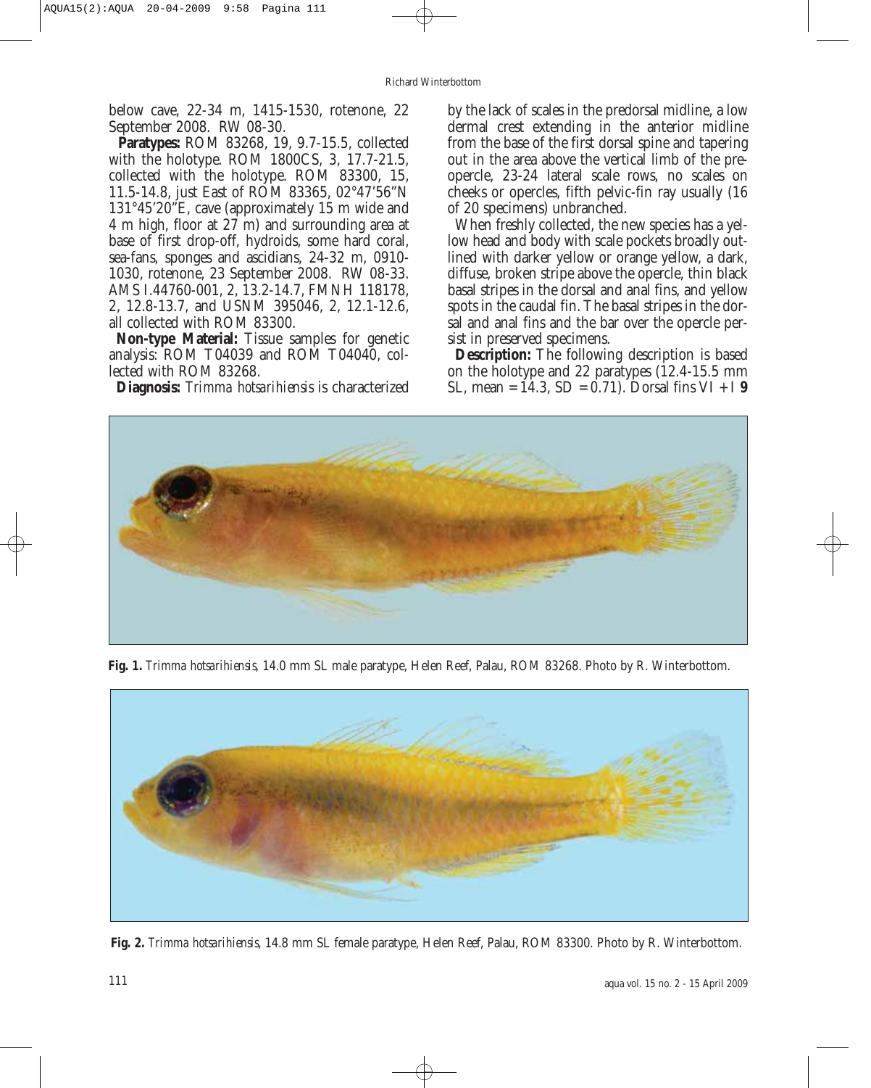below cave, 22-34 m, 1415-1530, rotenone, 22 September 2008. RW 08-30.

**Paratypes:** ROM 83268, 19, 9.7-15.5, collected with the holotype. ROM 1800CS, 3, 17.7-21.5, collected with the holotype. ROM 83300, 15, 11.5-14.8, just East of ROM 83365, 02°47'56"N 131°45'20"E, cave (approximately 15 m wide and 4 m high, floor at 27 m) and surrounding area at base of first drop-off, hydroids, some hard coral, sea-fans, sponges and ascidians, 24-32 m, 0910- 1030, rotenone, 23 September 2008. RW 08-33. AMS I.44760-001, 2, 13.2-14.7, FMNH 118178, 2, 12.8-13.7, and USNM 395046, 2, 12.1-12.6, all collected with ROM 83300.

**Non-type Material:** Tissue samples for genetic analysis: ROM T04039 and ROM T04040, collected with ROM 83268.

**Diagnosis:** *Trimma hotsarihiensis* is characterized

by the lack of scales in the predorsal midline, a low dermal crest extending in the anterior midline from the base of the first dorsal spine and tapering out in the area above the vertical limb of the preopercle, 23-24 lateral scale rows, no scales on cheeks or opercles, fifth pelvic-fin ray usually (16 of 20 specimens) unbranched.

When freshly collected, the new species has a yellow head and body with scale pockets broadly outlined with darker yellow or orange yellow, a dark, diffuse, broken stripe above the opercle, thin black basal stripes in the dorsal and anal fins, and yellow spots in the caudal fin. The basal stripes in the dorsal and anal fins and the bar over the opercle persist in preserved specimens.

**Description:** The following description is based on the holotype and 22 paratypes (12.4-15.5 mm SL, mean =  $14.3$ , SD =  $0.71$ ). Dorsal fins VI + I 9



**Fig. 1.** *Trimma hotsarihiensis,* 14.0 mm SL male paratype, Helen Reef, Palau, ROM 83268. Photo by R. Winterbottom.



**Fig. 2.** *Trimma hotsarihiensis*, 14.8 mm SL female paratype, Helen Reef, Palau, ROM 83300. Photo by R. Winterbottom.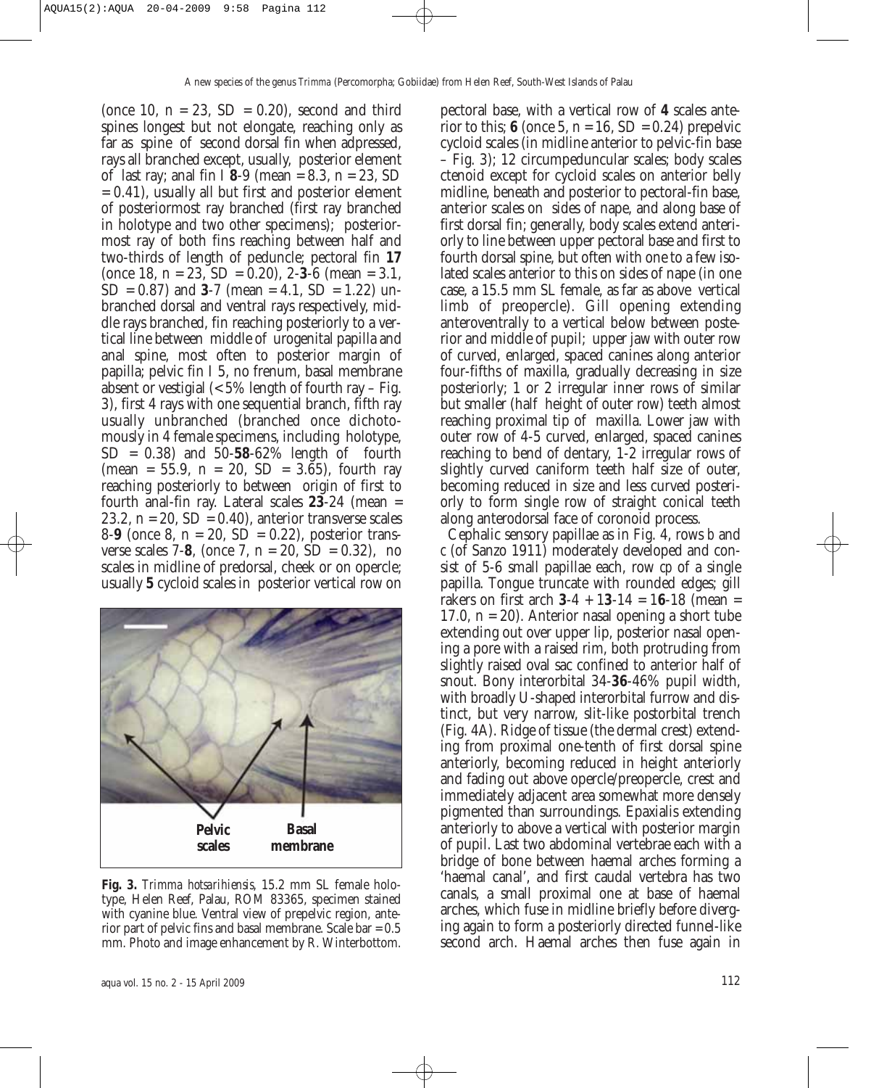(once 10,  $n = 23$ ,  $SD = 0.20$ ), second and third spines longest but not elongate, reaching only as far as spine of second dorsal fin when adpressed, rays all branched except, usually, posterior element of last ray; anal fin I **8**-9 (mean = 8.3, n = 23, SD  $= 0.41$ ), usually all but first and posterior element of posteriormost ray branched (first ray branched in holotype and two other specimens); posteriormost ray of both fins reaching between half and two-thirds of length of peduncle; pectoral fin **17** (once 18, n = 23, SD = 0.20), 2-**3**-6 (mean = 3.1,  $SD = 0.87$  and  $3-7$  (mean = 4.1,  $SD = 1.22$ ) unbranched dorsal and ventral rays respectively, middle rays branched, fin reaching posteriorly to a vertical line between middle of urogenital papilla and anal spine, most often to posterior margin of papilla; pelvic fin I 5, no frenum, basal membrane absent or vestigial  $\langle 5\%$  length of fourth ray – Fig. 3), first 4 rays with one sequential branch, fifth ray usually unbranched (branched once dichotomously in 4 female specimens, including holotype, SD = 0.38) and 50-**58**-62% length of fourth  $(mean = 55.9, n = 20, SD = 3.65)$ , fourth ray reaching posteriorly to between origin of first to fourth anal-fin ray. Lateral scales **23**-24 (mean = 23.2,  $n = 20$ ,  $SD = 0.40$ , anterior transverse scales 8-**9** (once 8, n = 20, SD = 0.22), posterior transverse scales 7-8, (once 7,  $n = 20$ ,  $SD = 0.32$ ), no scales in midline of predorsal, cheek or on opercle; usually **5** cycloid scales in posterior vertical row on



**Fig. 3.** *Trimma hotsarihiensis*, 15.2 mm SL female holotype, Helen Reef, Palau, ROM 83365, specimen stained with cyanine blue. Ventral view of prepelvic region, anterior part of pelvic fins and basal membrane. Scale bar = 0.5 mm. Photo and image enhancement by R. Winterbottom.

pectoral base, with a vertical row of **4** scales anterior to this;  $\boldsymbol{6}$  (once 5,  $n = 16$ ,  $SD = 0.24$ ) prepelvic cycloid scales (in midline anterior to pelvic-fin base – Fig. 3); 12 circumpeduncular scales; body scales ctenoid except for cycloid scales on anterior belly midline, beneath and posterior to pectoral-fin base, anterior scales on sides of nape, and along base of first dorsal fin; generally, body scales extend anteriorly to line between upper pectoral base and first to fourth dorsal spine, but often with one to a few isolated scales anterior to this on sides of nape (in one case, a 15.5 mm SL female, as far as above vertical limb of preopercle). Gill opening extending anteroventrally to a vertical below between posterior and middle of pupil; upper jaw with outer row of curved, enlarged, spaced canines along anterior four-fifths of maxilla, gradually decreasing in size posteriorly; 1 or 2 irregular inner rows of similar but smaller (half height of outer row) teeth almost reaching proximal tip of maxilla. Lower jaw with outer row of 4-5 curved, enlarged, spaced canines reaching to bend of dentary, 1-2 irregular rows of slightly curved caniform teeth half size of outer, becoming reduced in size and less curved posteriorly to form single row of straight conical teeth along anterodorsal face of coronoid process.

Cephalic sensory papillae as in Fig. 4, rows *b* and *c* (of Sanzo 1911) moderately developed and consist of 5-6 small papillae each, row *cp* of a single papilla. Tongue truncate with rounded edges; gill rakers on first arch  $3-4 + 13-14 = 16-18$  (mean = 17.0,  $n = 20$ ). Anterior nasal opening a short tube extending out over upper lip, posterior nasal opening a pore with a raised rim, both protruding from slightly raised oval sac confined to anterior half of snout. Bony interorbital 34-**36**-46% pupil width, with broadly U-shaped interorbital furrow and distinct, but very narrow, slit-like postorbital trench (Fig. 4A). Ridge of tissue (the dermal crest) extending from proximal one-tenth of first dorsal spine anteriorly, becoming reduced in height anteriorly and fading out above opercle/preopercle, crest and immediately adjacent area somewhat more densely pigmented than surroundings. Epaxialis extending anteriorly to above a vertical with posterior margin of pupil. Last two abdominal vertebrae each with a bridge of bone between haemal arches forming a 'haemal canal', and first caudal vertebra has two canals, a small proximal one at base of haemal arches, which fuse in midline briefly before diverging again to form a posteriorly directed funnel-like second arch. Haemal arches then fuse again in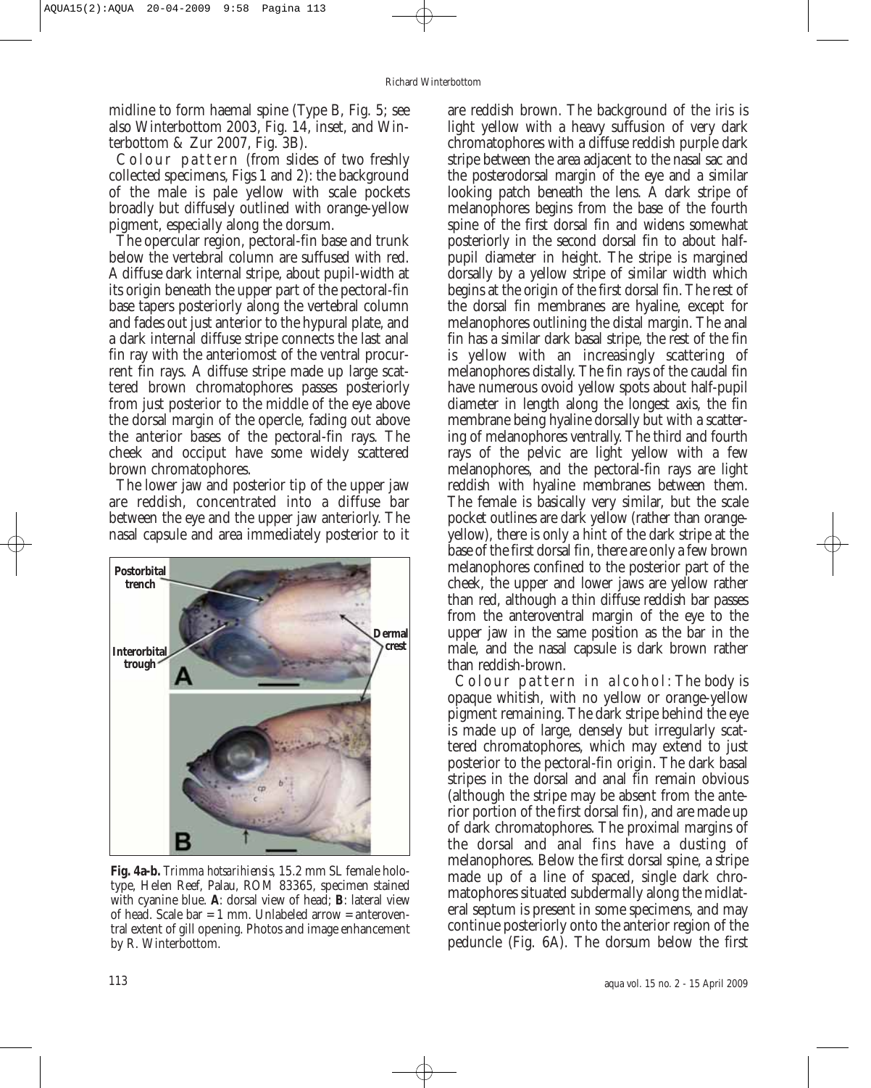midline to form haemal spine (Type B, Fig. 5; see also Winterbottom 2003, Fig. 14, inset, and Winterbottom & Zur 2007, Fig. 3B).

Colour pattern (from slides of two freshly collected specimens, Figs 1 and 2): the background of the male is pale yellow with scale pockets broadly but diffusely outlined with orange-yellow pigment, especially along the dorsum.

The opercular region, pectoral-fin base and trunk below the vertebral column are suffused with red. A diffuse dark internal stripe, about pupil-width at its origin beneath the upper part of the pectoral-fin base tapers posteriorly along the vertebral column and fades out just anterior to the hypural plate, and a dark internal diffuse stripe connects the last anal fin ray with the anteriomost of the ventral procurrent fin rays. A diffuse stripe made up large scattered brown chromatophores passes posteriorly from just posterior to the middle of the eye above the dorsal margin of the opercle, fading out above the anterior bases of the pectoral-fin rays. The cheek and occiput have some widely scattered brown chromatophores.

The lower jaw and posterior tip of the upper jaw are reddish, concentrated into a diffuse bar between the eye and the upper jaw anteriorly. The nasal capsule and area immediately posterior to it



**Fig. 4a-b.** *Trimma hotsarihiensis,* 15.2 mm SL female holotype, Helen Reef, Palau, ROM 83365, specimen stained with cyanine blue. **A**: dorsal view of head; **B**: lateral view of head. Scale bar = 1 mm. Unlabeled arrow = anteroventral extent of gill opening. Photos and image enhancement by R. Winterbottom.

are reddish brown. The background of the iris is light yellow with a heavy suffusion of very dark chromatophores with a diffuse reddish purple dark stripe between the area adjacent to the nasal sac and the posterodorsal margin of the eye and a similar looking patch beneath the lens. A dark stripe of melanophores begins from the base of the fourth spine of the first dorsal fin and widens somewhat posteriorly in the second dorsal fin to about halfpupil diameter in height. The stripe is margined dorsally by a yellow stripe of similar width which begins at the origin of the first dorsal fin. The rest of the dorsal fin membranes are hyaline, except for melanophores outlining the distal margin. The anal fin has a similar dark basal stripe, the rest of the fin is yellow with an increasingly scattering of melanophores distally. The fin rays of the caudal fin have numerous ovoid yellow spots about half-pupil diameter in length along the longest axis, the fin membrane being hyaline dorsally but with a scattering of melanophores ventrally. The third and fourth rays of the pelvic are light yellow with a few melanophores, and the pectoral-fin rays are light reddish with hyaline membranes between them. The female is basically very similar, but the scale pocket outlines are dark yellow (rather than orangeyellow), there is only a hint of the dark stripe at the base of the first dorsal fin, there are only a few brown melanophores confined to the posterior part of the cheek, the upper and lower jaws are yellow rather than red, although a thin diffuse reddish bar passes from the anteroventral margin of the eye to the upper jaw in the same position as the bar in the male, and the nasal capsule is dark brown rather than reddish-brown.

Colour pattern in alcohol: The body is opaque whitish, with no yellow or orange-yellow pigment remaining. The dark stripe behind the eye is made up of large, densely but irregularly scattered chromatophores, which may extend to just posterior to the pectoral-fin origin. The dark basal stripes in the dorsal and anal fin remain obvious (although the stripe may be absent from the anterior portion of the first dorsal fin), and are made up of dark chromatophores. The proximal margins of the dorsal and anal fins have a dusting of melanophores. Below the first dorsal spine, a stripe made up of a line of spaced, single dark chromatophores situated subdermally along the midlateral septum is present in some specimens, and may continue posteriorly onto the anterior region of the peduncle (Fig. 6A). The dorsum below the first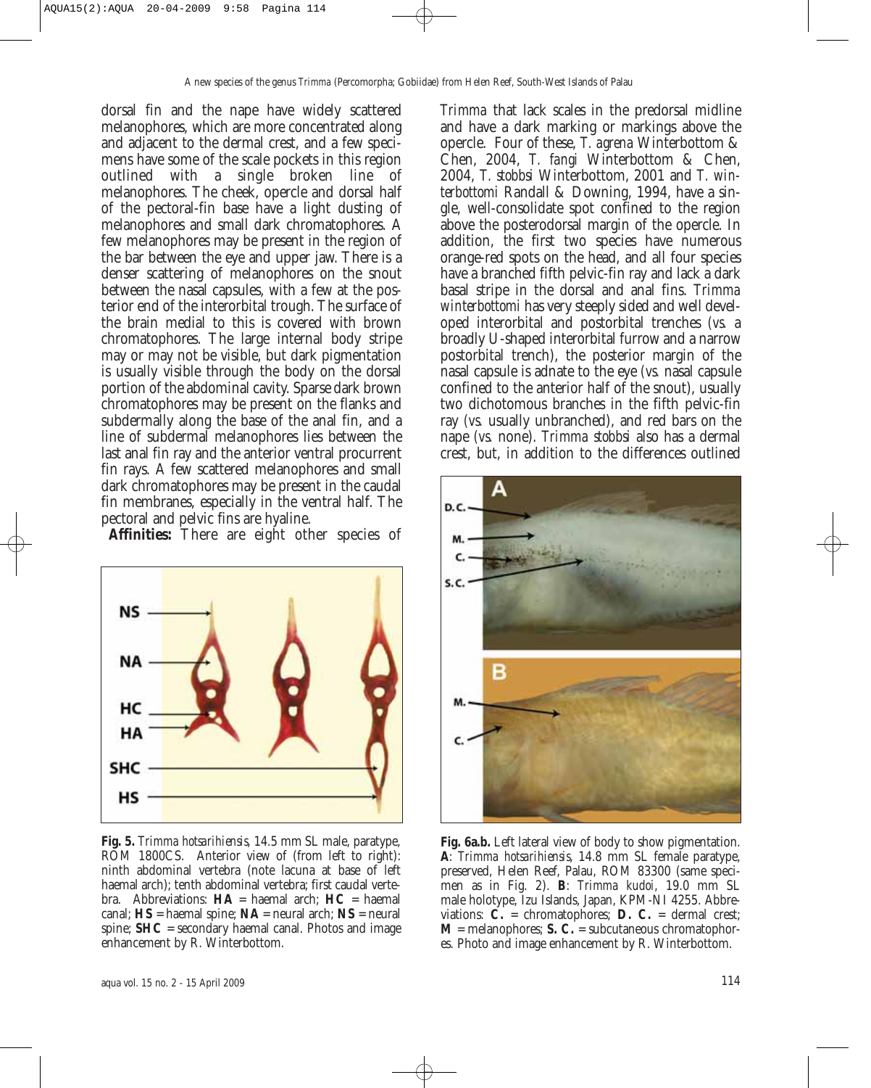dorsal fin and the nape have widely scattered melanophores, which are more concentrated along and adjacent to the dermal crest, and a few specimens have some of the scale pockets in this region outlined with a single broken line of melanophores. The cheek, opercle and dorsal half of the pectoral-fin base have a light dusting of melanophores and small dark chromatophores. A few melanophores may be present in the region of the bar between the eye and upper jaw. There is a denser scattering of melanophores on the snout between the nasal capsules, with a few at the posterior end of the interorbital trough. The surface of the brain medial to this is covered with brown chromatophores. The large internal body stripe may or may not be visible, but dark pigmentation is usually visible through the body on the dorsal portion of the abdominal cavity. Sparse dark brown chromatophores may be present on the flanks and subdermally along the base of the anal fin, and a line of subdermal melanophores lies between the last anal fin ray and the anterior ventral procurrent fin rays. A few scattered melanophores and small dark chromatophores may be present in the caudal fin membranes, especially in the ventral half. The pectoral and pelvic fins are hyaline.

**Affinities:** There are eight other species of



**Fig. 5.** *Trimma hotsarihiensis,* 14.5 mm SL male, paratype, ROM 1800CS. Anterior view of (from left to right): ninth abdominal vertebra (note lacuna at base of left haemal arch); tenth abdominal vertebra; first caudal vertebra. Abbreviations:  $HA =$  haemal arch;  $HC =$  haemal canal; **HS** = haemal spine; **NA** = neural arch; **NS** = neural spine; **SHC** = secondary haemal canal. Photos and image enhancement by R. Winterbottom.

*Trimma* that lack scales in the predorsal midline and have a dark marking or markings above the opercle. Four of these, *T. agrena* Winterbottom & Chen, 2004, *T. fangi* Winterbottom & Chen, 2004, *T. stobbsi* Winterbottom, 2001 and *T. winterbottomi* Randall & Downing, 1994, have a single, well-consolidate spot confined to the region above the posterodorsal margin of the opercle. In addition, the first two species have numerous orange-red spots on the head, and all four species have a branched fifth pelvic-fin ray and lack a dark basal stripe in the dorsal and anal fins. *Trimma winterbottomi* has very steeply sided and well developed interorbital and postorbital trenches *(vs.* a broadly U-shaped interorbital furrow and a narrow postorbital trench), the posterior margin of the nasal capsule is adnate to the eye *(vs.* nasal capsule confined to the anterior half of the snout), usually two dichotomous branches in the fifth pelvic-fin ray *(vs.* usually unbranched), and red bars on the nape *(vs.* none). *Trimma stobbsi* also has a dermal crest, but, in addition to the differences outlined



**Fig. 6a.b.** Left lateral view of body to show pigmentation. **A**: *Trimma hotsarihiensis*, 14.8 mm SL female paratype, preserved, Helen Reef, Palau, ROM 83300 (same specimen as in Fig. 2). **B**: *Trimma kudoi*, 19.0 mm SL male holotype, Izu Islands, Japan, KPM-NI 4255. Abbreviations: **C.** = chromatophores; **D. C.** = dermal crest;  $M$  = melanophores; S. C. = subcutaneous chromatophores. Photo and image enhancement by R. Winterbottom.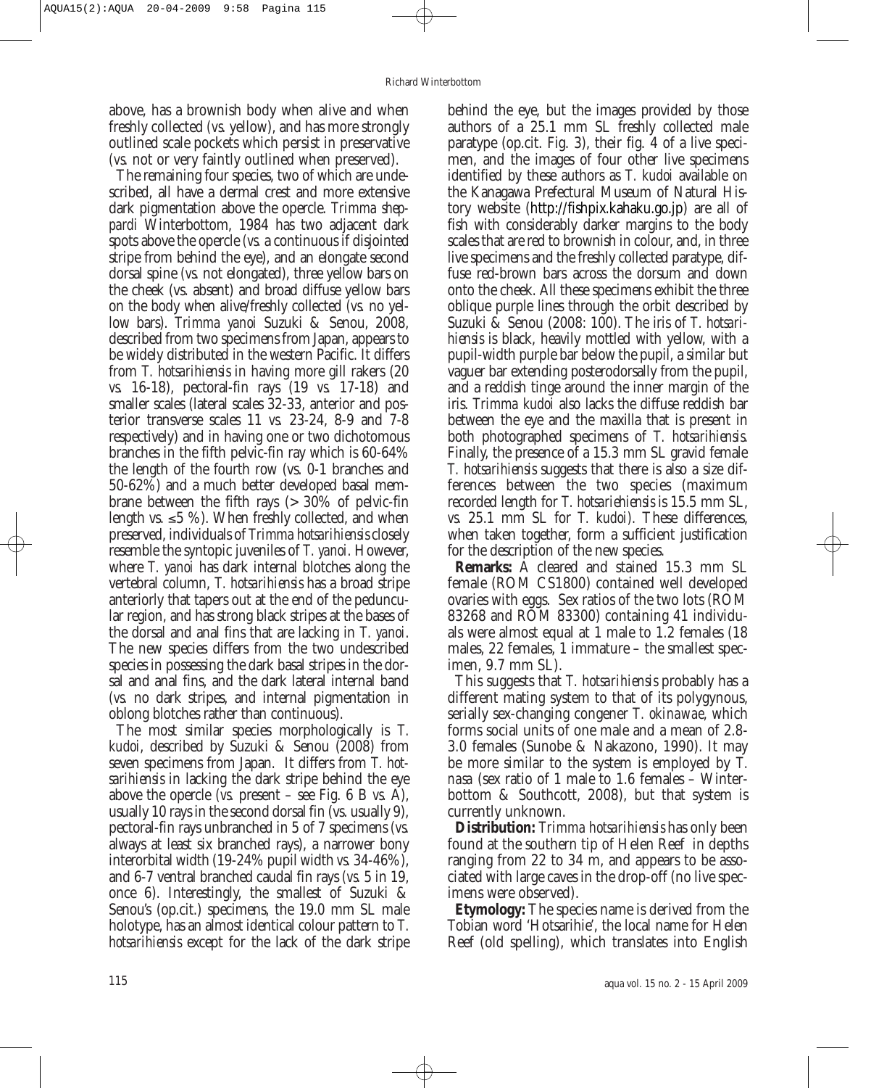above, has a brownish body when alive and when freshly collected *(vs.* yellow), and has more strongly outlined scale pockets which persist in preservative *(vs.* not or very faintly outlined when preserved).

The remaining four species, two of which are undescribed, all have a dermal crest and more extensive dark pigmentation above the opercle. *Trimma sheppardi* Winterbottom, 1984 has two adjacent dark spots above the opercle *(vs.* a continuous if disjointed stripe from behind the eye), and an elongate second dorsal spine *(vs.* not elongated), three yellow bars on the cheek (vs. absent) and broad diffuse yellow bars on the body when alive/freshly collected *(vs.* no yellow bars). *Trimma yanoi* Suzuki & Senou, 2008, described from two specimens from Japan, appears to be widely distributed in the western Pacific. It differs from *T. hotsarihiensis* in having more gill rakers (20 *vs.* 16-18), pectoral-fin rays (19 *vs.* 17-18) and smaller scales (lateral scales 32-33, anterior and posterior transverse scales 11 *vs.* 23-24, 8-9 and 7-8 respectively) and in having one or two dichotomous branches in the fifth pelvic-fin ray which is 60-64% the length of the fourth row (vs. 0-1 branches and 50-62%) and a much better developed basal membrane between the fifth rays (> 30% of pelvic-fin length vs.  $\leq 5$  %). When freshly collected, and when preserved, individuals of *Trimma hotsarihiensis* closely resemble the syntopic juveniles of *T. yanoi*. However, where *T. yanoi* has dark internal blotches along the vertebral column, *T. hotsarihiensis* has a broad stripe anteriorly that tapers out at the end of the peduncular region, and has strong black stripes at the bases of the dorsal and anal fins that are lacking in *T. yanoi*. The new species differs from the two undescribed species in possessing the dark basal stripes in the dorsal and anal fins, and the dark lateral internal band *(vs.* no dark stripes, and internal pigmentation in oblong blotches rather than continuous).

The most similar species morphologically is *T. kudoi*, described by Suzuki & Senou (2008) from seven specimens from Japan. It differs from *T. hotsarihiensis* in lacking the dark stripe behind the eye above the opercle *(vs.* present – see Fig. 6 B *vs.* A), usually 10 rays in the second dorsal fin (vs. usually 9), pectoral-fin rays unbranched in 5 of 7 specimens *(vs.* always at least six branched rays), a narrower bony interorbital width (19-24% pupil width *vs.* 34-46%), and 6-7 ventral branched caudal fin rays *(vs.* 5 in 19, once 6). Interestingly, the smallest of Suzuki & Senou's (op.cit.) specimens, the 19.0 mm SL male holotype, has an almost identical colour pattern to *T. hotsarihiensis* except for the lack of the dark stripe behind the eye, but the images provided by those authors of a 25.1 mm SL freshly collected male paratype (op.cit. Fig. 3), their fig. 4 of a live specimen, and the images of four other live specimens identified by these authors as *T. kudoi* available on the Kanagawa Prefectural Museum of Natural History website (http://fishpix.kahaku.go.jp) are all of fish with considerably darker margins to the body scales that are red to brownish in colour, and, in three live specimens and the freshly collected paratype, diffuse red-brown bars across the dorsum and down onto the cheek. All these specimens exhibit the three oblique purple lines through the orbit described by Suzuki & Senou (2008: 100). The iris of *T. hotsarihiensis* is black, heavily mottled with yellow, with a pupil-width purple bar below the pupil, a similar but vaguer bar extending posterodorsally from the pupil, and a reddish tinge around the inner margin of the iris. *Trimma kudoi* also lacks the diffuse reddish bar between the eye and the maxilla that is present in both photographed specimens of *T. hotsarihiensis*. Finally, the presence of a 15.3 mm SL gravid female *T. hotsarihiensis* suggests that there is also a size differences between the two species (maximum recorded length for *T. hotsariehiensis* is 15.5 mm SL, *vs.* 25.1 mm SL for *T. kudoi).* These differences, when taken together, form a sufficient justification for the description of the new species.

**Remarks:** A cleared and stained 15.3 mm SL female (ROM CS1800) contained well developed ovaries with eggs. Sex ratios of the two lots (ROM 83268 and ROM 83300) containing 41 individuals were almost equal at 1 male to 1.2 females (18 males, 22 females, 1 immature – the smallest specimen, 9.7 mm SL).

This suggests that *T. hotsarihiensis* probably has a different mating system to that of its polygynous, serially sex-changing congener *T. okinawae*, which forms social units of one male and a mean of 2.8- 3.0 females (Sunobe & Nakazono, 1990). It may be more similar to the system is employed by *T. nasa* (sex ratio of 1 male to 1.6 females – Winterbottom & Southcott, 2008), but that system is currently unknown.

**Distribution:** *Trimma hotsarihiensis* has only been found at the southern tip of Helen Reef in depths ranging from 22 to 34 m, and appears to be associated with large caves in the drop-off (no live specimens were observed).

**Etymology:** The species name is derived from the Tobian word 'Hotsarihie', the local name for Helen Reef (old spelling), which translates into English